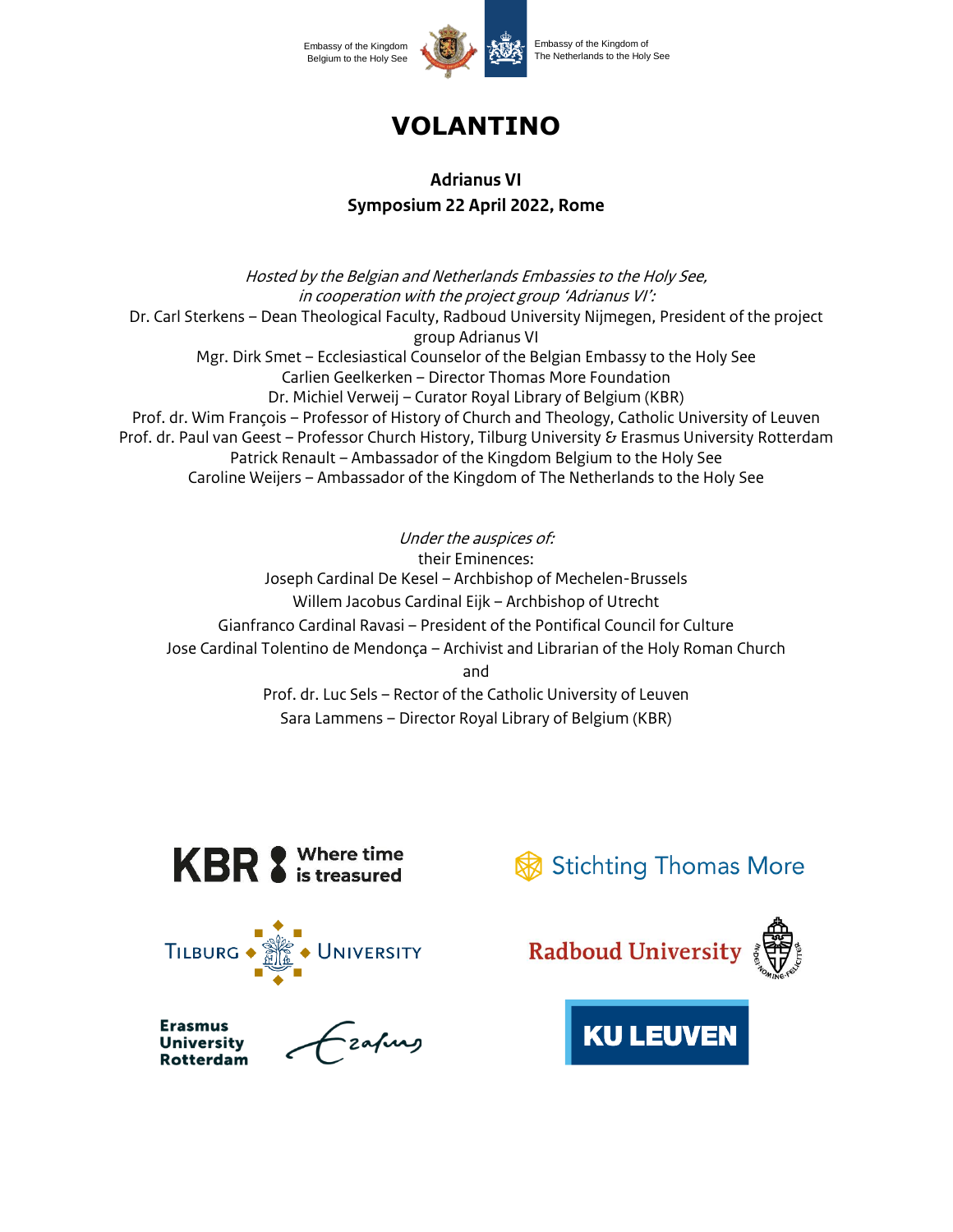

# **VOLANTINO**

# **Adrianus VI Symposium 22 April 2022, Rome**

Hosted by the Belgian and Netherlands Embassies to the Holy See, in cooperation with the project group 'Adrianus VI': Dr. Carl Sterkens – Dean Theological Faculty, Radboud University Nijmegen, President of the project group Adrianus VI Mgr. Dirk Smet – Ecclesiastical Counselor of the Belgian Embassy to the Holy See Carlien Geelkerken – Director Thomas More Foundation Dr. Michiel Verweij – Curator Royal Library of Belgium (KBR) Prof. dr. Wim François – Professor of History of Church and Theology, Catholic University of Leuven Prof. dr. Paul van Geest – Professor Church History, Tilburg University & Erasmus University Rotterdam Patrick Renault – Ambassador of the Kingdom Belgium to the Holy See Caroline Weijers – Ambassador of the Kingdom of The Netherlands to the Holy See

Under the auspices of: their Eminences: Joseph Cardinal De Kesel – Archbishop of Mechelen-Brussels Willem Jacobus Cardinal Eijk – Archbishop of Utrecht Gianfranco Cardinal Ravasi – President of the Pontifical Council for Culture Jose Cardinal Tolentino de Mendonça – Archivist and Librarian of the Holy Roman Church and Prof. dr. Luc Sels – Rector of the Catholic University of Leuven Sara Lammens – Director Royal Library of Belgium (KBR)







-<br>zafung

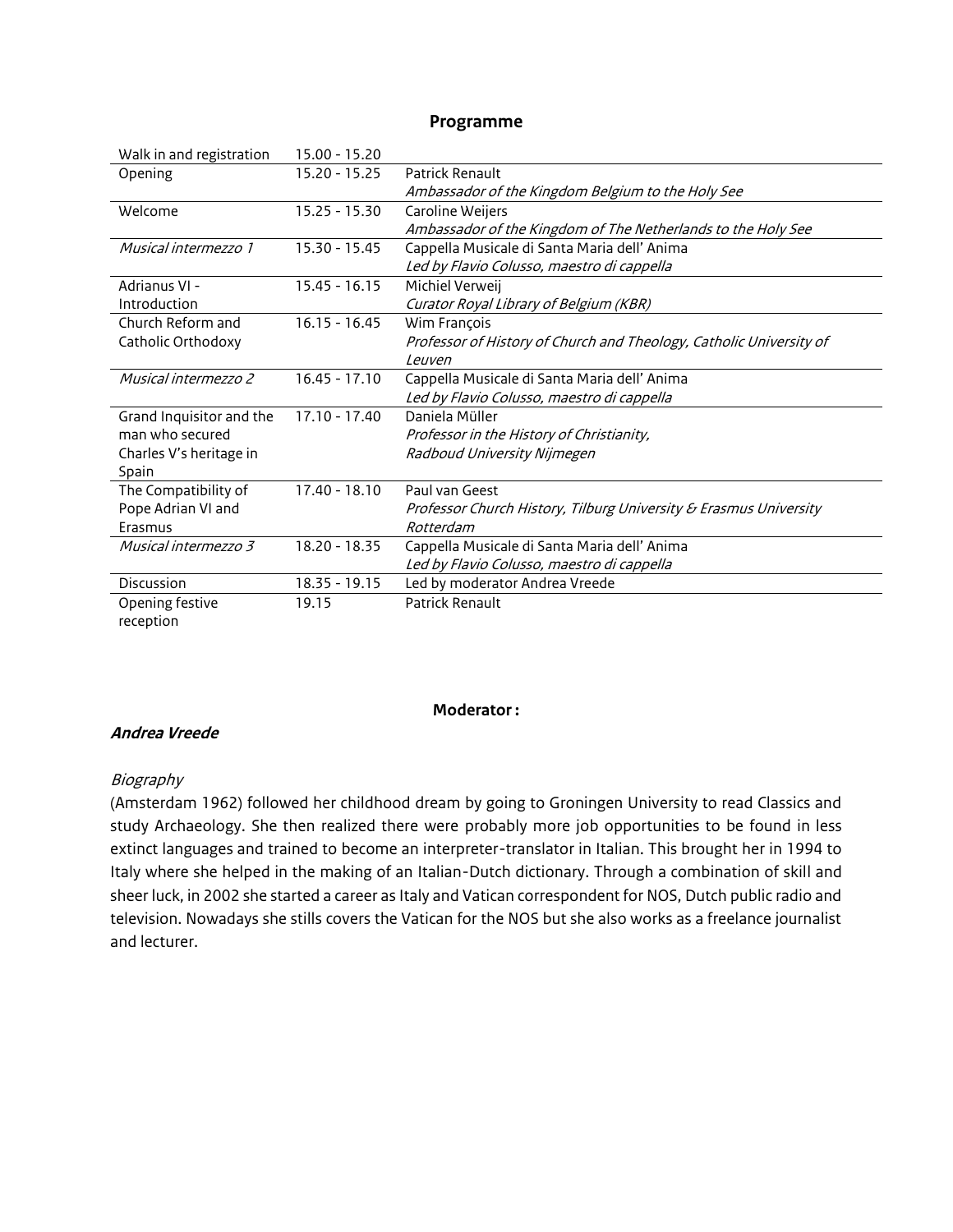## **Programme**

| Walk in and registration | 15.00 - 15.20   |                                                                     |
|--------------------------|-----------------|---------------------------------------------------------------------|
| Opening                  | 15.20 - 15.25   | Patrick Renault                                                     |
|                          |                 | Ambassador of the Kingdom Belgium to the Holy See                   |
| Welcome                  | $15.25 - 15.30$ | Caroline Weijers                                                    |
|                          |                 | Ambassador of the Kingdom of The Netherlands to the Holy See        |
| Musical intermezzo 1     | 15.30 - 15.45   | Cappella Musicale di Santa Maria dell' Anima                        |
|                          |                 | Led by Flavio Colusso, maestro di cappella                          |
| Adrianus VI -            | $15.45 - 16.15$ | Michiel Verweij                                                     |
| Introduction             |                 | Curator Royal Library of Belgium (KBR)                              |
| Church Reform and        | $16.15 - 16.45$ | Wim François                                                        |
| Catholic Orthodoxy       |                 | Professor of History of Church and Theology, Catholic University of |
|                          |                 | Leuven                                                              |
| Musical intermezzo 2     | $16.45 - 17.10$ | Cappella Musicale di Santa Maria dell' Anima                        |
|                          |                 | Led by Flavio Colusso, maestro di cappella                          |
| Grand Inquisitor and the | $17.10 - 17.40$ | Daniela Müller                                                      |
| man who secured          |                 | Professor in the History of Christianity,                           |
| Charles V's heritage in  |                 | Radboud University Nijmegen                                         |
| Spain                    |                 |                                                                     |
| The Compatibility of     | $17.40 - 18.10$ | Paul van Geest                                                      |
| Pope Adrian VI and       |                 | Professor Church History, Tilburg University & Erasmus University   |
| Erasmus                  |                 | Rotterdam                                                           |
| Musical intermezzo 3     | 18.20 - 18.35   | Cappella Musicale di Santa Maria dell' Anima                        |
|                          |                 | Led by Flavio Colusso, maestro di cappella                          |
| Discussion               | $18.35 - 19.15$ | Led by moderator Andrea Vreede                                      |
| Opening festive          | 19.15           | Patrick Renault                                                     |
| reception                |                 |                                                                     |

#### **Moderator :**

## **Andrea Vreede**

#### Biography

(Amsterdam 1962) followed her childhood dream by going to Groningen University to read Classics and study Archaeology. She then realized there were probably more job opportunities to be found in less extinct languages and trained to become an interpreter-translator in Italian. This brought her in 1994 to Italy where she helped in the making of an Italian-Dutch dictionary. Through a combination of skill and sheer luck, in 2002 she started a career as Italy and Vatican correspondent for NOS, Dutch public radio and television. Nowadays she stills covers the Vatican for the NOS but she also works as a freelance journalist and lecturer.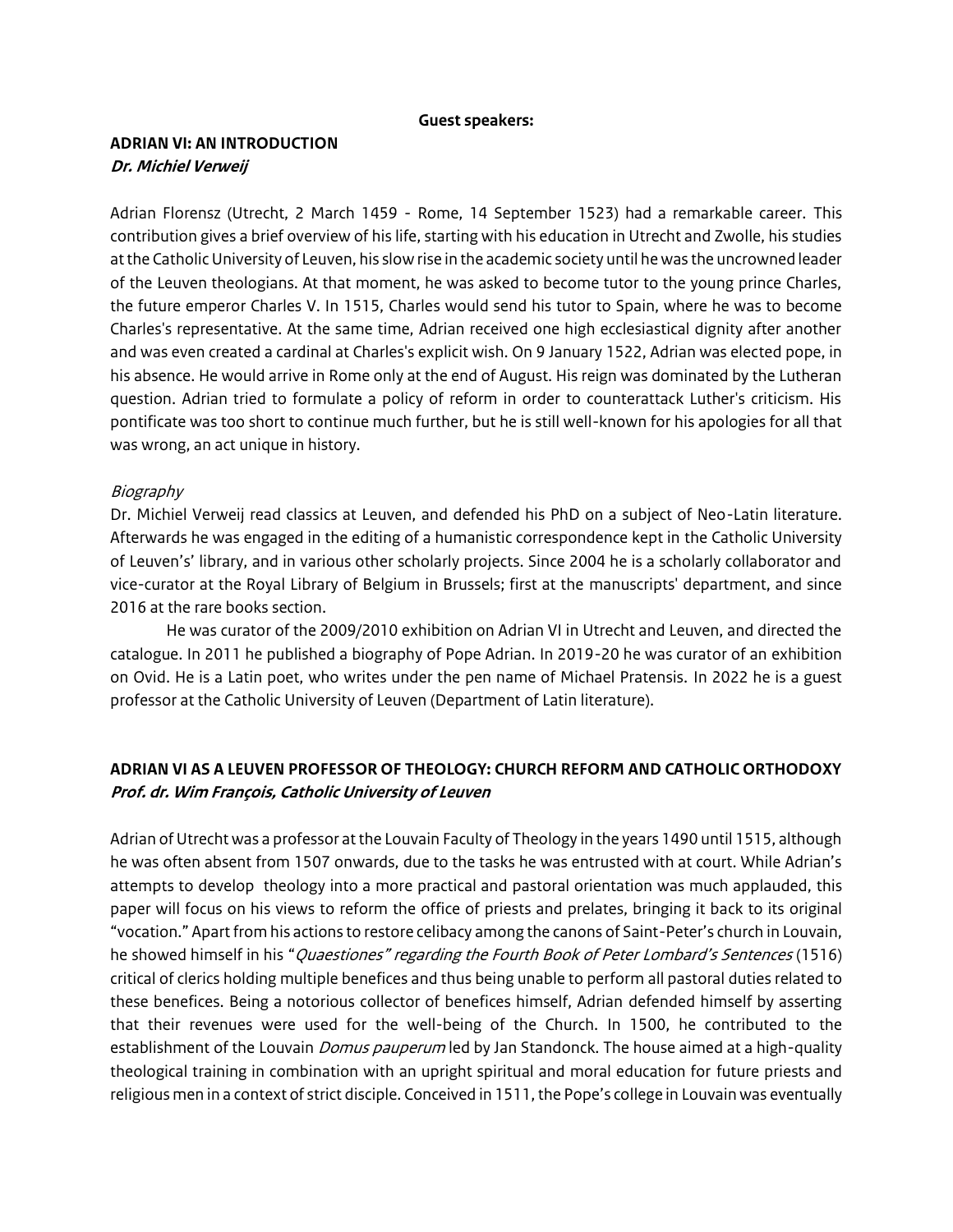#### **Guest speakers:**

## **ADRIAN VI: AN INTRODUCTION Dr. Michiel Verweij**

Adrian Florensz (Utrecht, 2 March 1459 - Rome, 14 September 1523) had a remarkable career. This contribution gives a brief overview of his life, starting with his education in Utrecht and Zwolle, his studies atthe Catholic University of Leuven, his slow rise in the academic society until he was the uncrowned leader of the Leuven theologians. At that moment, he was asked to become tutor to the young prince Charles, the future emperor Charles V. In 1515, Charles would send his tutor to Spain, where he was to become Charles's representative. At the same time, Adrian received one high ecclesiastical dignity after another and was even created a cardinal at Charles's explicit wish. On 9 January 1522, Adrian was elected pope, in his absence. He would arrive in Rome only at the end of August. His reign was dominated by the Lutheran question. Adrian tried to formulate a policy of reform in order to counterattack Luther's criticism. His pontificate was too short to continue much further, but he is still well-known for his apologies for all that was wrong, an act unique in history.

### Biography

Dr. Michiel Verweij read classics at Leuven, and defended his PhD on a subject of Neo-Latin literature. Afterwards he was engaged in the editing of a humanistic correspondence kept in the Catholic University of Leuven's' library, and in various other scholarly projects. Since 2004 he is a scholarly collaborator and vice-curator at the Royal Library of Belgium in Brussels; first at the manuscripts' department, and since 2016 at the rare books section.

He was curator of the 2009/2010 exhibition on Adrian VI in Utrecht and Leuven, and directed the catalogue. In 2011 he published a biography of Pope Adrian. In 2019-20 he was curator of an exhibition on Ovid. He is a Latin poet, who writes under the pen name of Michael Pratensis. In 2022 he is a guest professor at the Catholic University of Leuven (Department of Latin literature).

## **ADRIAN VI AS A LEUVEN PROFESSOR OF THEOLOGY: CHURCH REFORM AND CATHOLIC ORTHODOXY Prof. dr. Wim François, Catholic University of Leuven**

Adrian of Utrecht was a professor at the Louvain Faculty of Theology in the years 1490 until 1515, although he was often absent from 1507 onwards, due to the tasks he was entrusted with at court. While Adrian's attempts to develop theology into a more practical and pastoral orientation was much applauded, this paper will focus on his views to reform the office of priests and prelates, bringing it back to its original "vocation." Apart from his actions to restore celibacy among the canons of Saint-Peter's church in Louvain, he showed himself in his "*Quaestiones" regarding the Fourth Book of Peter Lombard's Sentences* (1516) critical of clerics holding multiple benefices and thus being unable to perform all pastoral duties related to these benefices. Being a notorious collector of benefices himself, Adrian defended himself by asserting that their revenues were used for the well-being of the Church. In 1500, he contributed to the establishment of the Louvain *Domus pauperum* led by Jan Standonck. The house aimed at a high-quality theological training in combination with an upright spiritual and moral education for future priests and religious men in a context of strict disciple. Conceived in 1511, the Pope's college in Louvain was eventually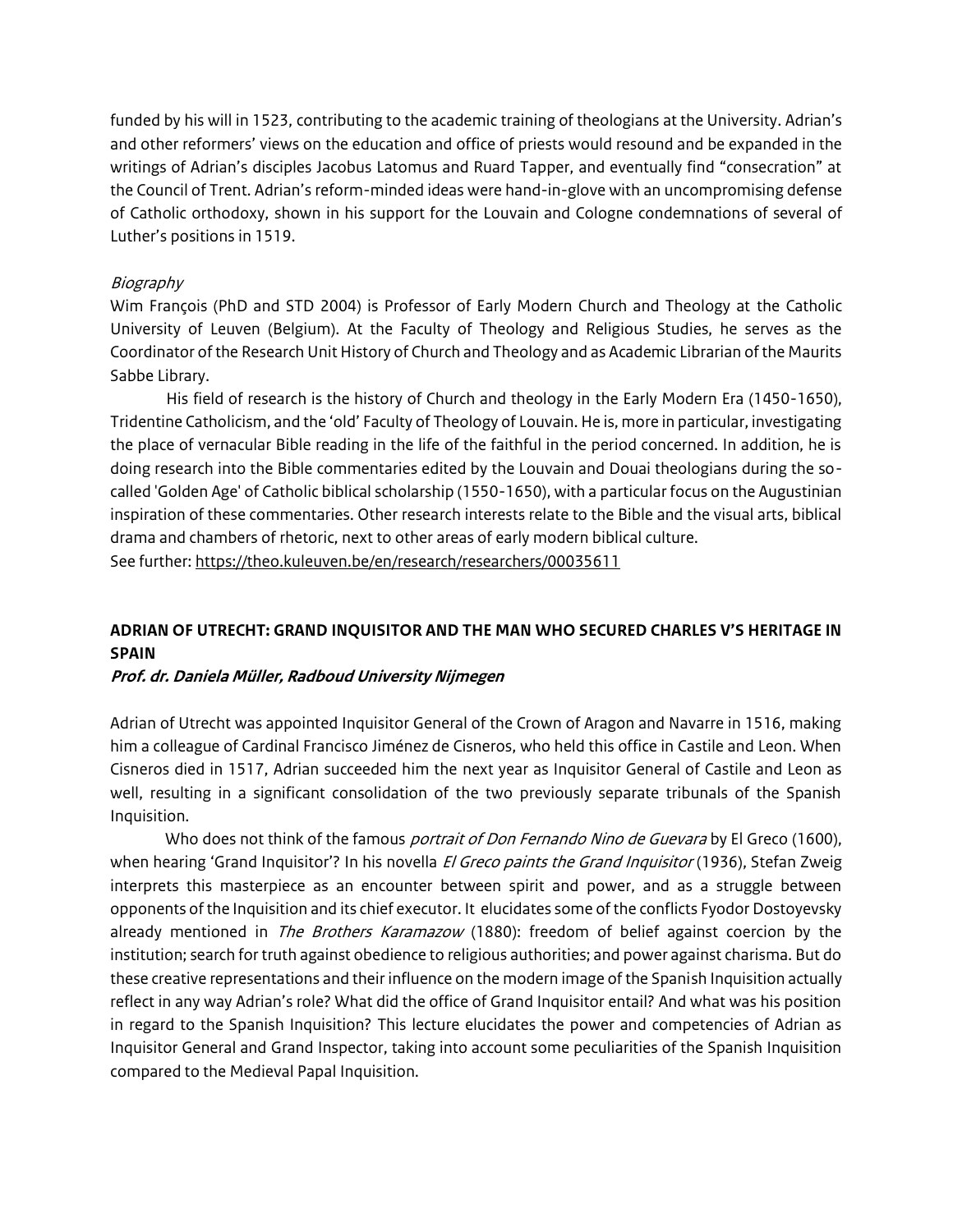funded by his will in 1523, contributing to the academic training of theologians at the University. Adrian's and other reformers' views on the education and office of priests would resound and be expanded in the writings of Adrian's disciples Jacobus Latomus and Ruard Tapper, and eventually find "consecration" at the Council of Trent. Adrian's reform-minded ideas were hand-in-glove with an uncompromising defense of Catholic orthodoxy, shown in his support for the Louvain and Cologne condemnations of several of Luther's positions in 1519.

## Biography

Wim François (PhD and STD 2004) is Professor of Early Modern Church and Theology at the Catholic University of Leuven (Belgium). At the Faculty of Theology and Religious Studies, he serves as the Coordinator of the Research Unit History of Church and Theology and as Academic Librarian of the Maurits Sabbe Library.

His field of research is the history of Church and theology in the Early Modern Era (1450-1650), Tridentine Catholicism, and the 'old' Faculty of Theology of Louvain. He is, more in particular, investigating the place of vernacular Bible reading in the life of the faithful in the period concerned. In addition, he is doing research into the Bible commentaries edited by the Louvain and Douai theologians during the socalled 'Golden Age' of Catholic biblical scholarship (1550-1650), with a particular focus on the Augustinian inspiration of these commentaries. Other research interests relate to the Bible and the visual arts, biblical drama and chambers of rhetoric, next to other areas of early modern biblical culture. See further[: https://theo.kuleuven.be/en/research/researchers/00035611](https://theo.kuleuven.be/en/research/researchers/00035611)

# **ADRIAN OF UTRECHT: GRAND INQUISITOR AND THE MAN WHO SECURED CHARLES V'S HERITAGE IN SPAIN**

## **Prof. dr. Daniela Müller, Radboud University Nijmegen**

Adrian of Utrecht was appointed Inquisitor General of the Crown of Aragon and Navarre in 1516, making him a colleague of Cardinal Francisco Jiménez de Cisneros, who held this office in Castile and Leon. When Cisneros died in 1517, Adrian succeeded him the next year as Inquisitor General of Castile and Leon as well, resulting in a significant consolidation of the two previously separate tribunals of the Spanish Inquisition.

Who does not think of the famous *portrait of Don Fernando Nino de Guevara* by El Greco (1600), when hearing 'Grand Inquisitor'? In his novella *El Greco paints the Grand Inquisitor* (1936), Stefan Zweig interprets this masterpiece as an encounter between spirit and power, and as a struggle between opponents of the Inquisition and its chief executor. It elucidates some of the conflicts Fyodor Dostoyevsky already mentioned in *The Brothers Karamazow* (1880): freedom of belief against coercion by the institution; search for truth against obedience to religious authorities; and power against charisma. But do these creative representations and their influence on the modern image of the Spanish Inquisition actually reflect in any way Adrian's role? What did the office of Grand Inquisitor entail? And what was his position in regard to the Spanish Inquisition? This lecture elucidates the power and competencies of Adrian as Inquisitor General and Grand Inspector, taking into account some peculiarities of the Spanish Inquisition compared to the Medieval Papal Inquisition.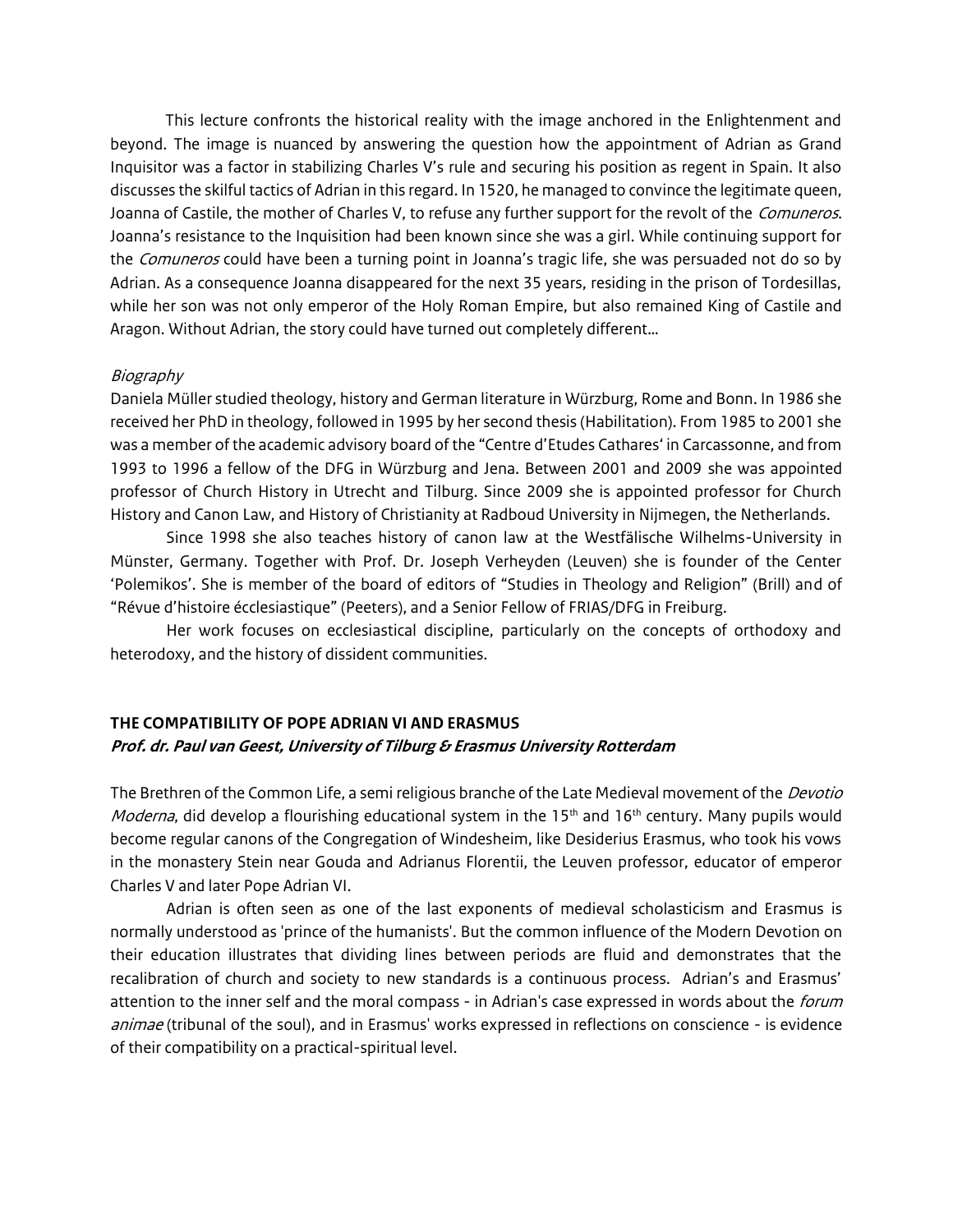This lecture confronts the historical reality with the image anchored in the Enlightenment and beyond. The image is nuanced by answering the question how the appointment of Adrian as Grand Inquisitor was a factor in stabilizing Charles V's rule and securing his position as regent in Spain. It also discusses the skilful tactics of Adrian in this regard. In 1520, he managed to convince the legitimate queen, Joanna of Castile, the mother of Charles V, to refuse any further support for the revolt of the Comuneros. Joanna's resistance to the Inquisition had been known since she was a girl. While continuing support for the *Comuneros* could have been a turning point in Joanna's tragic life, she was persuaded not do so by Adrian. As a consequence Joanna disappeared for the next 35 years, residing in the prison of Tordesillas, while her son was not only emperor of the Holy Roman Empire, but also remained King of Castile and Aragon. Without Adrian, the story could have turned out completely different…

### Biography

Daniela Müller studied theology, history and German literature in Würzburg, Rome and Bonn. In 1986 she received her PhD in theology, followed in 1995 by her second thesis (Habilitation). From 1985 to 2001 she was a member of the academic advisory board of the "Centre d'Etudes Cathares' in Carcassonne, and from 1993 to 1996 a fellow of the DFG in Würzburg and Jena. Between 2001 and 2009 she was appointed professor of Church History in Utrecht and Tilburg. Since 2009 she is appointed professor for Church History and Canon Law, and History of Christianity at Radboud University in Nijmegen, the Netherlands.

Since 1998 she also teaches history of canon law at the Westfälische Wilhelms-University in Münster, Germany. Together with Prof. Dr. Joseph Verheyden (Leuven) she is founder of the Center 'Polemikos'. She is member of the board of editors of "Studies in Theology and Religion" (Brill) and of "Révue d'histoire écclesiastique" (Peeters), and a Senior Fellow of FRIAS/DFG in Freiburg.

Her work focuses on ecclesiastical discipline, particularly on the concepts of orthodoxy and heterodoxy, and the history of dissident communities.

## **THE COMPATIBILITY OF POPE ADRIAN VI AND ERASMUS Prof. dr. Paul van Geest, University of Tilburg & Erasmus University Rotterdam**

The Brethren of the Common Life, a semi religious branche of the Late Medieval movement of the *Devotio Moderna*, did develop a flourishing educational system in the 15<sup>th</sup> and 16<sup>th</sup> century. Many pupils would become regular canons of the Congregation of Windesheim, like Desiderius Erasmus, who took his vows in the monastery Stein near Gouda and Adrianus Florentii, the Leuven professor, educator of emperor Charles V and later Pope Adrian VI.

Adrian is often seen as one of the last exponents of medieval scholasticism and Erasmus is normally understood as 'prince of the humanists'. But the common influence of the Modern Devotion on their education illustrates that dividing lines between periods are fluid and demonstrates that the recalibration of church and society to new standards is a continuous process. Adrian's and Erasmus' attention to the inner self and the moral compass - in Adrian's case expressed in words about the *forum* animae (tribunal of the soul), and in Erasmus' works expressed in reflections on conscience - is evidence of their compatibility on a practical-spiritual level.